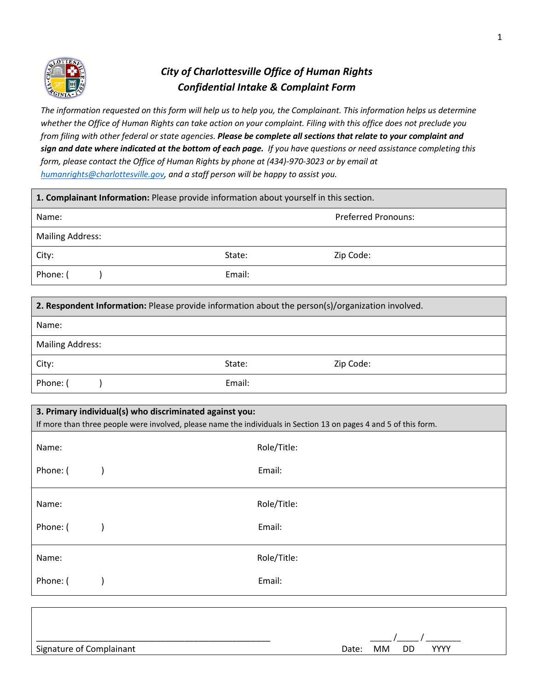

# *City of Charlottesville Office of Human Rights Confidential Intake & Complaint Form*

*The information requested on this form will help us to help you, the Complainant. This information helps us determine whether the Office of Human Rights can take action on your complaint. Filing with this office does not preclude you from filing with other federal or state agencies. Please be complete all sections that relate to your complaint and sign and date where indicated at the bottom of each page. If you have questions or need assistance completing this form, please contact the Office of Human Rights by phone at (434)-970-3023 or by email at humanrights@charlottesville.gov, and a staff person will be happy to assist you.*

|                         | 1. Complainant Information: Please provide information about yourself in this section. |                                                                                                                   |  |
|-------------------------|----------------------------------------------------------------------------------------|-------------------------------------------------------------------------------------------------------------------|--|
| Name:                   |                                                                                        | <b>Preferred Pronouns:</b>                                                                                        |  |
| <b>Mailing Address:</b> |                                                                                        |                                                                                                                   |  |
| City:                   | State:                                                                                 | Zip Code:                                                                                                         |  |
| Phone: (                | Email:                                                                                 |                                                                                                                   |  |
|                         |                                                                                        |                                                                                                                   |  |
|                         |                                                                                        | 2. Respondent Information: Please provide information about the person(s)/organization involved.                  |  |
| Name:                   |                                                                                        |                                                                                                                   |  |
| <b>Mailing Address:</b> |                                                                                        |                                                                                                                   |  |
| City:                   | State:                                                                                 | Zip Code:                                                                                                         |  |
| Phone: (                | Email:                                                                                 |                                                                                                                   |  |
|                         |                                                                                        |                                                                                                                   |  |
|                         | 3. Primary individual(s) who discriminated against you:                                |                                                                                                                   |  |
|                         |                                                                                        | If more than three people were involved, please name the individuals in Section 13 on pages 4 and 5 of this form. |  |
|                         |                                                                                        |                                                                                                                   |  |
| Name:                   |                                                                                        | Role/Title:                                                                                                       |  |
| Phone: (                | Email:                                                                                 |                                                                                                                   |  |
|                         |                                                                                        |                                                                                                                   |  |
| Name:                   |                                                                                        | Role/Title:                                                                                                       |  |
| Phone: (                | Email:                                                                                 |                                                                                                                   |  |
|                         |                                                                                        |                                                                                                                   |  |
|                         |                                                                                        |                                                                                                                   |  |

Phone: ( ) and Email: Email: Email: Email: Email: Email: Email: Email: Email: Email: Email: Email: Email: Email: Email:  $E = \frac{1}{2}$ 

Name: Role/Title:

| Signature of Complainant | <b>YYYY</b><br>MM DD<br>Date: |
|--------------------------|-------------------------------|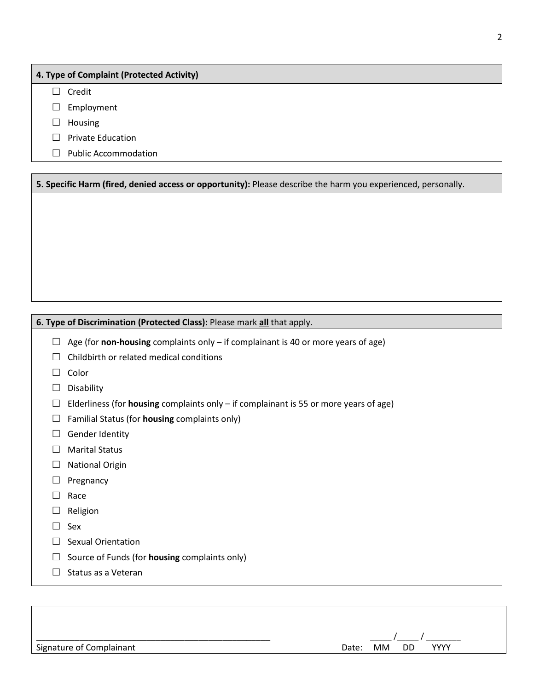### **4. Type of Complaint (Protected Activity)**

 $\Box$  Credit

 $\square$  Employment

- $\Box$  Housing
- $\Box$  Private Education
- $\Box$  Public Accommodation

**5. Specific Harm (fired, denied access or opportunity):** Please describe the harm you experienced, personally.

#### **6. Type of Discrimination (Protected Class):** Please mark **all** that apply.

 $\Box$  Age (for **non-housing** complaints only – if complainant is 40 or more years of age)

- $\Box$  Childbirth or related medical conditions
- $\Box$  Color
- $\square$  Disability
- Elderliness (for **housing** complaints only if complainant is 55 or more years of age)
- Familial Status (for **housing** complaints only)
- □ Gender Identity
- $\Box$  Marital Status
- □ National Origin
- $\Box$  Pregnancy
- $\Box$  Race
- $\square$  Religion
- $\Box$  Sex
- $\Box$  Sexual Orientation
- $\Box$  Source of Funds (for **housing** complaints only)
- $\Box$  Status as a Veteran

| Signature of Complainant |  |  |  |
|--------------------------|--|--|--|
|--------------------------|--|--|--|

| Signature of Complainant | Jate | MМ | DD | vvvv |  |
|--------------------------|------|----|----|------|--|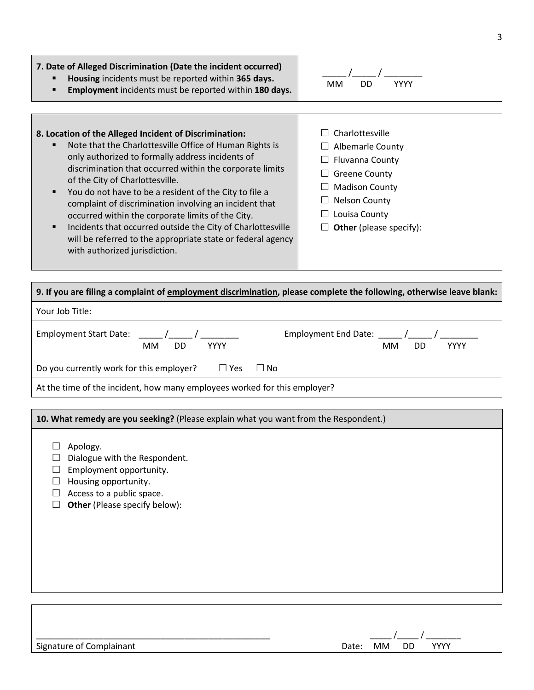### **7. Date of Alleged Discrimination (Date the incident occurred)**

- **Housing** incidents must be reported within **365 days.**
- **Employment** incidents must be reported within **180 days.**

| <b>MM</b> | חח | <b>YYYY</b> |
|-----------|----|-------------|

### **8. Location of the Alleged Incident of Discrimination:** Note that the Charlottesville Office of Human Rights is only authorized to formally address incidents of discrimination that occurred within the corporate limits

- of the City of Charlottesville. You do not have to be a resident of the City to file a complaint of discrimination involving an incident that occurred within the corporate limits of the City.
- **Incidents that occurred outside the City of Charlottesville** will be referred to the appropriate state or federal agency with authorized jurisdiction.

## $\Box$  Charlottesville

- $\Box$  Albemarle County
- $\Box$  Fluvanna County
- $\Box$  Greene County
- $\Box$  Madison County
- $\Box$  Nelson County
- $\Box$  Louisa County
- **Other** (please specify):

| 9. If you are filing a complaint of employment discrimination, please complete the following, otherwise leave blank: |                         |  |  |  |
|----------------------------------------------------------------------------------------------------------------------|-------------------------|--|--|--|
| Your Job Title:                                                                                                      |                         |  |  |  |
| Employment Start Date: / / /<br><b>YYYY</b><br>МM<br>DD.                                                             | MM<br>DD<br><b>YYYY</b> |  |  |  |
| Do you currently work for this employer?<br>$\square$ Yes                                                            | $\Box$ No               |  |  |  |
| At the time of the incident, how many employees worked for this employer?                                            |                         |  |  |  |

### **10. What remedy are you seeking?** (Please explain what you want from the Respondent.)

- $\Box$  Apology.
- $\Box$  Dialogue with the Respondent.
- $\Box$  Employment opportunity.
- $\Box$  Housing opportunity.
- $\Box$  Access to a public space.
- **Other** (Please specify below):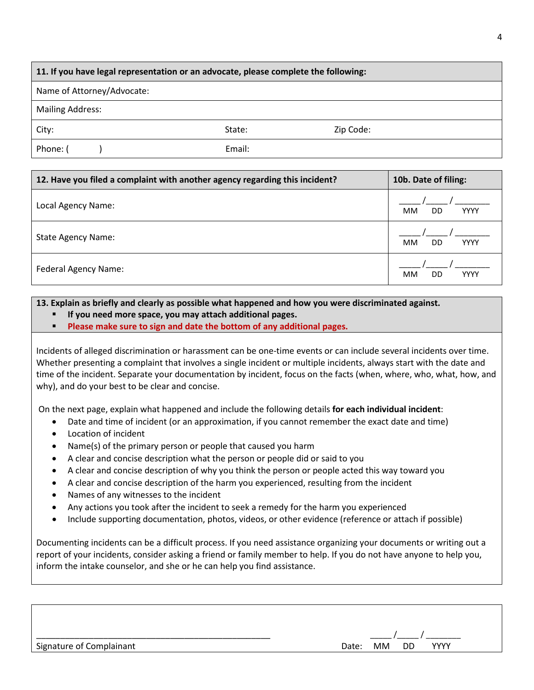### **11. If you have legal representation or an advocate, please complete the following:**

Name of Attorney/Advocate:

Mailing Address:

City: 2ip Code: State: 2ip Code:

Phone: ( ) and Email: Email: Email: Email: Email: Email: Email: Email: Email: Email: Email: Email: Email: Email: Email:  $E = \frac{1}{2}$ 

| 12. Have you filed a complaint with another agency regarding this incident? | 10b. Date of filing:           |
|-----------------------------------------------------------------------------|--------------------------------|
| Local Agency Name:                                                          | <b>MM</b><br><b>YYYY</b><br>DD |
| <b>State Agency Name:</b>                                                   | <b>MM</b><br><b>YYYY</b><br>DD |
| Federal Agency Name:                                                        | <b>MM</b><br><b>YYYY</b><br>DD |

### **13. Explain as briefly and clearly as possible what happened and how you were discriminated against.**

- **If you need more space, you may attach additional pages.**
- **Please make sure to sign and date the bottom of any additional pages.**

Incidents of alleged discrimination or harassment can be one-time events or can include several incidents over time. Whether presenting a complaint that involves a single incident or multiple incidents, always start with the date and time of the incident. Separate your documentation by incident, focus on the facts (when, where, who, what, how, and why), and do your best to be clear and concise.

On the next page, explain what happened and include the following details **for each individual incident**:

- Date and time of incident (or an approximation, if you cannot remember the exact date and time)
- Location of incident
- Name(s) of the primary person or people that caused you harm
- A clear and concise description what the person or people did or said to you
- A clear and concise description of why you think the person or people acted this way toward you
- A clear and concise description of the harm you experienced, resulting from the incident
- Names of any witnesses to the incident
- Any actions you took after the incident to seek a remedy for the harm you experienced
- Include supporting documentation, photos, videos, or other evidence (reference or attach if possible)

Documenting incidents can be a difficult process. If you need assistance organizing your documents or writing out a report of your incidents, consider asking a friend or family member to help. If you do not have anyone to help you, inform the intake counselor, and she or he can help you find assistance.

| Signature of Complainant | Date: I | мм | <b>DD</b> | <b>YYYY</b> |  |
|--------------------------|---------|----|-----------|-------------|--|